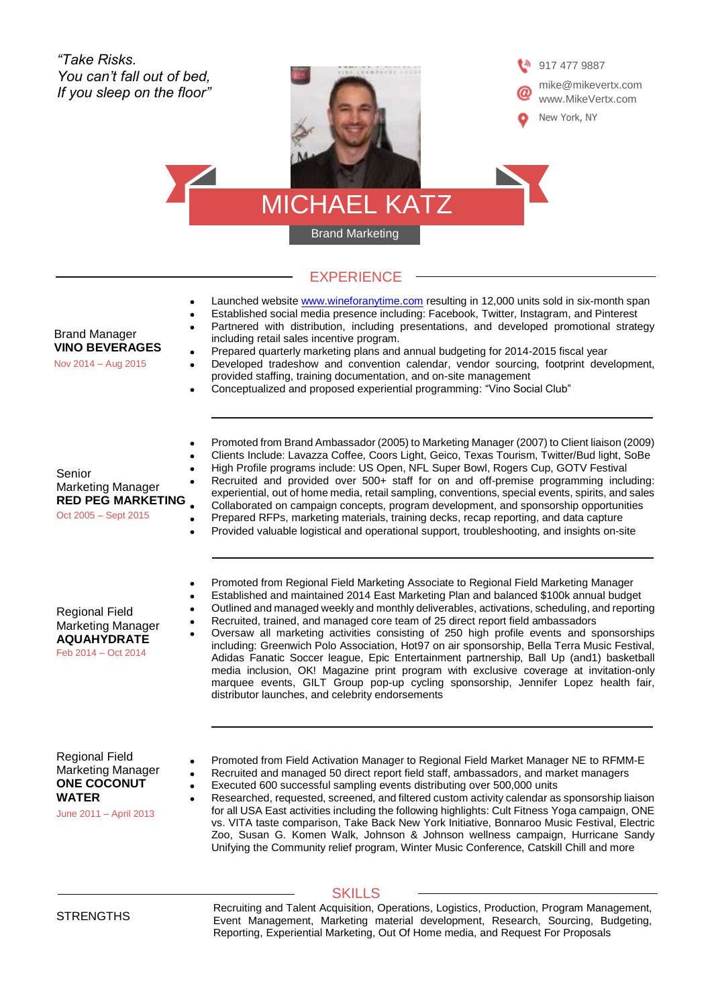*"Take Risks. You can't fall out of bed, If you sleep on the floor"*



1 917 477 9887

### **EXPERIENCE**

| <b>Brand Manager</b><br><b>VINO BEVERAGES</b><br>Nov 2014 - Aug 2015                                              | $\bullet$<br>$\bullet$<br>$\bullet$<br>$\bullet$<br>$\bullet$ | Launched website www.wineforanytime.com resulting in 12,000 units sold in six-month span<br>Established social media presence including: Facebook, Twitter, Instagram, and Pinterest<br>Partnered with distribution, including presentations, and developed promotional strategy<br>including retail sales incentive program.<br>Prepared quarterly marketing plans and annual budgeting for 2014-2015 fiscal year<br>Developed tradeshow and convention calendar, vendor sourcing, footprint development,<br>provided staffing, training documentation, and on-site management<br>Conceptualized and proposed experiential programming: "Vino Social Club"                                                                                                                                                                                                                                |
|-------------------------------------------------------------------------------------------------------------------|---------------------------------------------------------------|--------------------------------------------------------------------------------------------------------------------------------------------------------------------------------------------------------------------------------------------------------------------------------------------------------------------------------------------------------------------------------------------------------------------------------------------------------------------------------------------------------------------------------------------------------------------------------------------------------------------------------------------------------------------------------------------------------------------------------------------------------------------------------------------------------------------------------------------------------------------------------------------|
| Senior<br><b>Marketing Manager</b><br><b>RED PEG MARKETING</b><br>Oct 2005 - Sept 2015                            | $\bullet$<br>$\bullet$<br>$\bullet$<br>$\bullet$              | Promoted from Brand Ambassador (2005) to Marketing Manager (2007) to Client liaison (2009)<br>Clients Include: Lavazza Coffee, Coors Light, Geico, Texas Tourism, Twitter/Bud light, SoBe<br>High Profile programs include: US Open, NFL Super Bowl, Rogers Cup, GOTV Festival<br>Recruited and provided over 500+ staff for on and off-premise programming including:<br>experiential, out of home media, retail sampling, conventions, special events, spirits, and sales<br>Collaborated on campaign concepts, program development, and sponsorship opportunities<br>Prepared RFPs, marketing materials, training decks, recap reporting, and data capture<br>Provided valuable logistical and operational support, troubleshooting, and insights on-site                                                                                                                               |
| <b>Regional Field</b><br><b>Marketing Manager</b><br><b>AQUAHYDRATE</b><br>Feb 2014 - Oct 2014                    | $\bullet$<br>$\bullet$<br>$\bullet$<br>$\bullet$<br>$\bullet$ | Promoted from Regional Field Marketing Associate to Regional Field Marketing Manager<br>Established and maintained 2014 East Marketing Plan and balanced \$100k annual budget<br>Outlined and managed weekly and monthly deliverables, activations, scheduling, and reporting<br>Recruited, trained, and managed core team of 25 direct report field ambassadors<br>Oversaw all marketing activities consisting of 250 high profile events and sponsorships<br>including: Greenwich Polo Association, Hot97 on air sponsorship, Bella Terra Music Festival,<br>Adidas Fanatic Soccer league, Epic Entertainment partnership, Ball Up (and1) basketball<br>media inclusion, OK! Magazine print program with exclusive coverage at invitation-only<br>marquee events, GILT Group pop-up cycling sponsorship, Jennifer Lopez health fair,<br>distributor launches, and celebrity endorsements |
| <b>Regional Field</b><br><b>Marketing Manager</b><br><b>ONE COCONUT</b><br><b>WATER</b><br>June 2011 - April 2013 | $\bullet$<br>$\bullet$<br>$\bullet$<br>$\bullet$              | Promoted from Field Activation Manager to Regional Field Market Manager NE to RFMM-E<br>Recruited and managed 50 direct report field staff, ambassadors, and market managers<br>Executed 600 successful sampling events distributing over 500,000 units<br>Researched, requested, screened, and filtered custom activity calendar as sponsorship liaison<br>for all USA East activities including the following highlights: Cult Fitness Yoga campaign, ONE<br>vs. VITA taste comparison, Take Back New York Initiative, Bonnaroo Music Festival, Electric<br>Zoo, Susan G. Komen Walk, Johnson & Johnson wellness campaign, Hurricane Sandy<br>Unifying the Community relief program, Winter Music Conference, Catskill Chill and more                                                                                                                                                    |

#### SKILLS

**STRENGTHS** 

Recruiting and Talent Acquisition, Operations, Logistics, Production, Program Management, Event Management, Marketing material development, Research, Sourcing, Budgeting, Reporting, Experiential Marketing, Out Of Home media, and Request For Proposals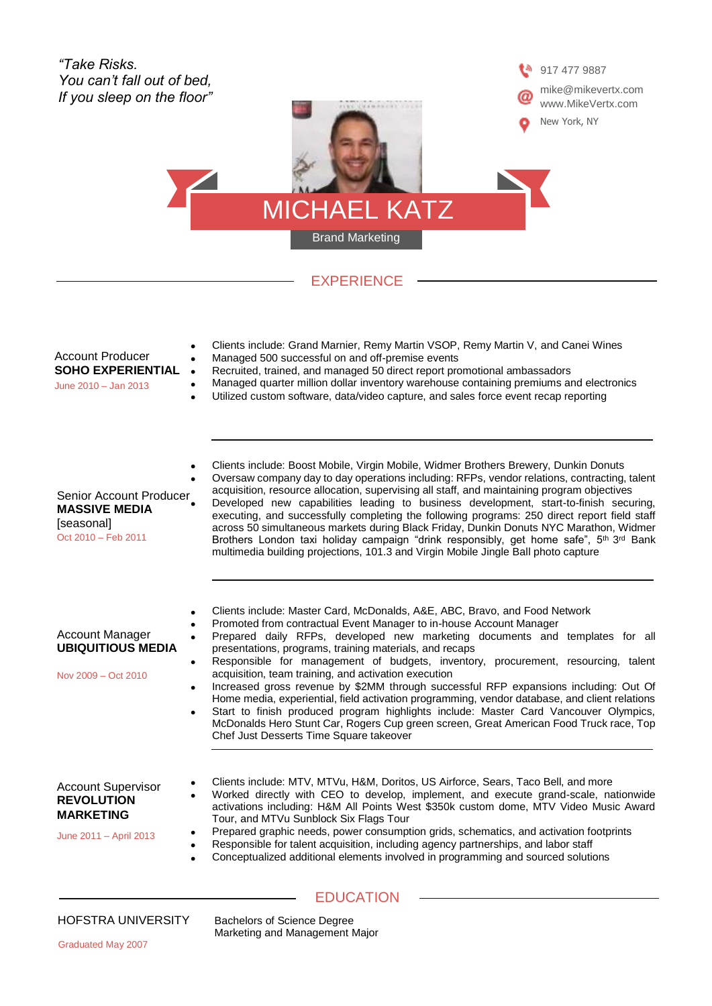

# **EDUCATION**

## HOFSTRA UNIVERSITY Bachelors of Science Degree

Marketing and Management Major

Graduated May 2007